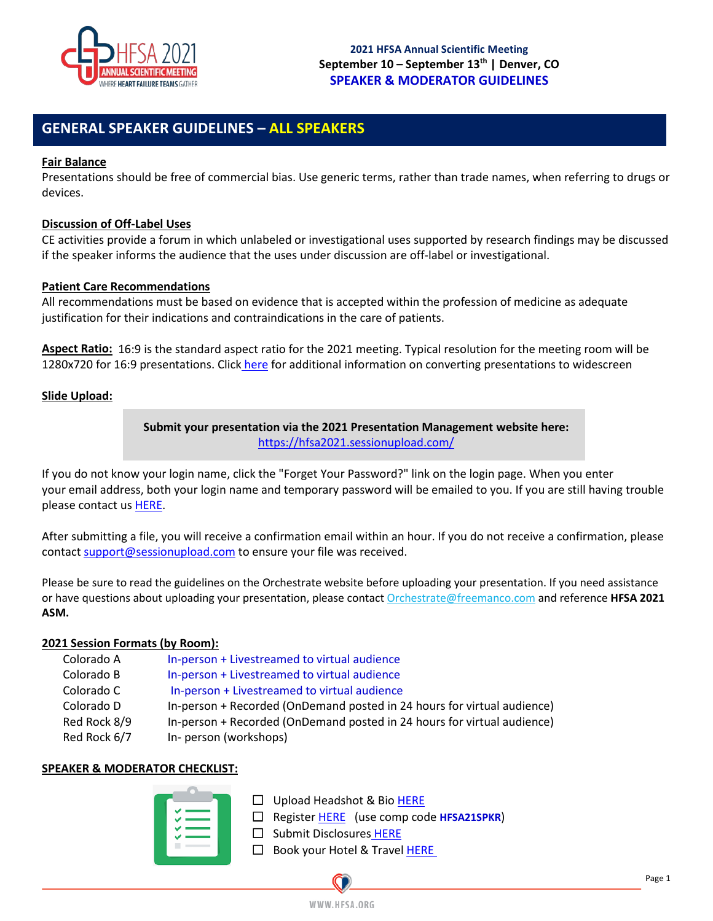

# **GENERAL SPEAKER GUIDELINES – ALL SPEAKERS**

### **Fair Balance**

Presentations should be free of commercial bias. Use generic terms, rather than trade names, when referring to drugs or devices.

### **Discussion of Off-Label Uses**

CE activities provide a forum in which unlabeled or investigational uses supported by research findings may be discussed if the speaker informs the audience that the uses under discussion are off-label or investigational.

### **Patient Care Recommendations**

All recommendations must be based on evidence that is accepted within the profession of medicine as adequate justification for their indications and contraindications in the care of patients.

**Aspect Ratio:** 16:9 is the standard aspect ratio for the 2021 meeting. Typical resolution for the meeting room will be 1280x720 for 16:9 presentations. Clic[k](https://support.microsoft.com/en-us/office/change-the-size-of-your-slides-040a811c-be43-40b9-8d04-0de5ed79987e) [here](https://support.microsoft.com/en-us/office/change-the-size-of-your-slides-040a811c-be43-40b9-8d04-0de5ed79987e) for additional information on converting presentations to widescreen

### **Slide Upload:**

**Submit your presentation via the 2021 Presentation Management website here:** <https://hfsa2021.sessionupload.com/>

If you do not know your login name, click the "Forget Your Password?" link on the login page. When you enter your email address, both your login name and temporary password will be emailed to you. If you are still having trouble please contact us [HERE.](mailto:Orchestrate@freemanco.com?subject=Show%202020)

After submitting a file, you will receive a confirmation email within an hour. If you do not receive a confirmation, please contact [support@sessionupload.com](mailto:support@sessionupload.com) to ensure your file was received.

Please be sure to read the guidelines on the Orchestrate website before uploading your presentation. If you need assistance or have questions about uploading your presentation, please contact [Orchestrate@freemanco.com](mailto:Orchestrate@freemanco.com) and reference **HFSA 2021 ASM.** 

### **2021 Session Formats (by Room):**

| Colorado A   | In-person + Livestreamed to virtual audience                            |
|--------------|-------------------------------------------------------------------------|
| Colorado B   | In-person + Livestreamed to virtual audience                            |
| Colorado C   | In-person + Livestreamed to virtual audience                            |
| Colorado D   | In-person + Recorded (OnDemand posted in 24 hours for virtual audience) |
| Red Rock 8/9 | In-person + Recorded (OnDemand posted in 24 hours for virtual audience) |
| Red Rock 6/7 | In-person (workshops)                                                   |

### **SPEAKER & MODERATOR CHECKLIST:**

| ✔      |  |
|--------|--|
| ✔      |  |
| ◡<br>ັ |  |
|        |  |
| --     |  |

☐ Upload Headshot & Bio [HERE](https://hfsa2021.sessionupload.com/)

- ☐ Register [HERE](https://members.hfsa.org/account/login.aspx?ReturnUrl=http%3A//registration.experientevent.com/ShowHFS211/Flow/ATTENDEE) (use comp code **HFSA21SPKR**)
- □ Submit Disclosures [HERE](https://www.abstractsonline.com/dashboard/login.asp?aId=341&targetMKey=%7bDDD6B20F-E65E-48FF-B700-12FFA33BD639%7d&targetMod=submit&IdpEntityId=urn://hfsa.org&relayState=aHR0cHM6Ly9hdXRoLmFic3RyYWN0c29ubGluZS5jb20vU1BMaXRlL3NpZ25pbi1jdXN0b20%2fc3RhdGU9RlZ2b0w2T2VlZElEeXZmUm0wYUYtREwxNmRsVkRDbHNNX1o5YWN0d1JXb2FHc2EtR25PTndzV0h2aXBKT2t5MXAxRHFmdDViMGhXNEdSZ3hCd1h5QmhMVHpuMi12dkZDNG8wdW5uZW5ucTlqMlpEWWM0c2xtSmRMQldZOWw0ay12WW42U281ZGFqTmJjLWltYW1keUxCeEJ1QWkzYTRXUDRyR1dpV0g3bndJYmhkRWdNSWJPcG1jVGhDVHVJU2ZsSEJ6NU5va3o1STIyRldfMlNWMG53Q3B6ODdTbENMN1BsZElrWEpobGd0VkZqUzZJVG45X1RTRENTaWk5T3BpWndmWDRobE5mbVNEVXk1MVdVODhjcDZGc2VZSjBJMlItYWl3QTZsTW51VWlnLVNDYjhpS3FOTmRMN29JSWlMMmF1cjBwWXFDWmdpOGFLbXJkUFJNS201TXhlYlJkb093d0V4eENGNjZIbDNzZTFUUXFCbkhOMUliVk5TcExpRlJ4QVd1bHNXT0s3a2owTnNhUVNrWERwb0xlOF9YMUNqQXRiSVg2eGt4b1dFd0R0bnhPZTRFaDY0VlBMTmM5dmQtM1BOa1JnVndpVWtCS1NfUldkREtSWE5kZGFPLUxVRzNiSEJSS0JpMVExaFRiVmlPMlVJMUxVdzhRSWRWbEk2VnFhd2pfNl9xd3BtOW1BMm9sUEk4dFFsT1Y2YjA2c3NZLUcxVUluRFJTUUNaTU5BMEVPZHpQOXN4QmlqT09wT2pwRTMxYWFxcWdoRmMzRU9YTVI4RWV2Z1dQY0JPS2l5TmFpOWgtRjNSZ3ktNmhxNld3a3lDYy1ROHQwVUozT1R0NHVoV3dRbmloMjY5MmhuMjIwNEVXbmI2YTlLdDZDd2dJUlFkb3B0aUhic3N5bkZkRGxnUnlESWxCNGpKZFUzQ0xRMmlfLWdSVHROMFRlTkdtcW8tUGEyU1VBRGtOdTUybm9ocnRHZlVHY1VtV29KWGQtQ0E3YThKaDUyd2tUb01vU1JZTDN5UGVyWlNuVjN5NjdOUW5neGxRY3puNUZkbjBTY0Z0NndVQXN3WDgtZEkzVmFEcGNtZkRseUxUcjdsNmg2Y1VScGF5YTdPdHF5cmNMbndYbmk3YldZNWVyMlR1T0FESkRNbGk1aVE%3d)
- □ Book your Hotel & Travel [HERE](https://hfsa.org/annualscientificmeeting/hotel-and-travel)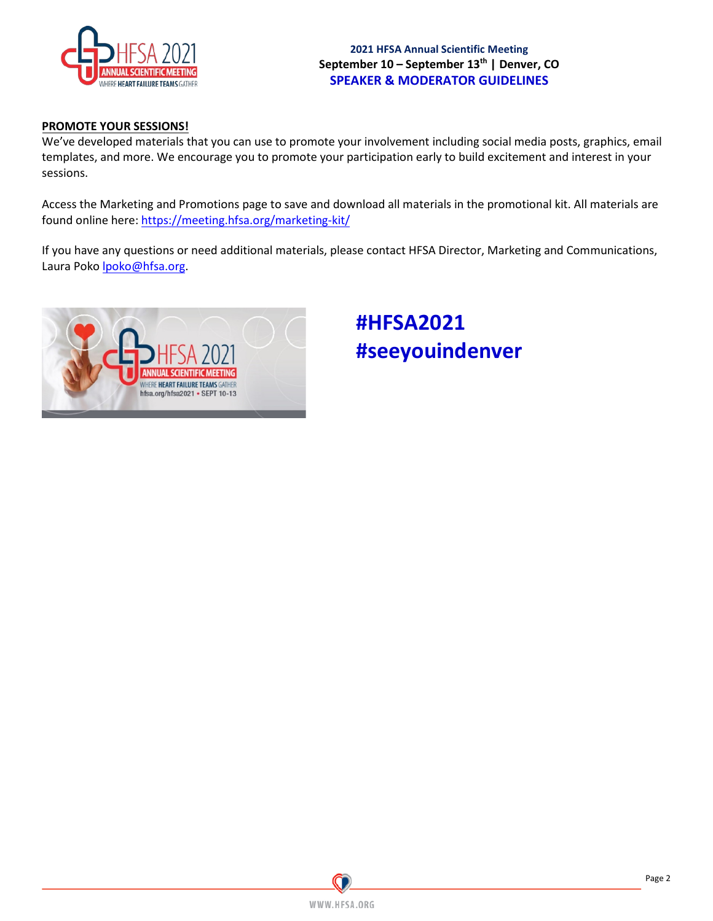

**2021 HFSA Annual Scientific Meeting** September 10 – September 13<sup>th</sup> | Denver, CO **SPEAKER & MODERATOR GUIDELINES** 

# **PROMOTE YOUR SESSIONS!**

We've developed materials that you can use to promote your involvement including social media posts, graphics, email templates, and more. We encourage you to promote your participation early to build excitement and interest in your sessions.

Access the Marketing and Promotions page to save and download all materials in the promotional kit. All materials are found online here: <https://meeting.hfsa.org/marketing-kit/>

If you have any questions or need additional materials, please contact HFSA Director, Marketing and Communications, Laura Poko Ipoko@hfsa.org.



# **#HFSA2021 #seeyouindenver**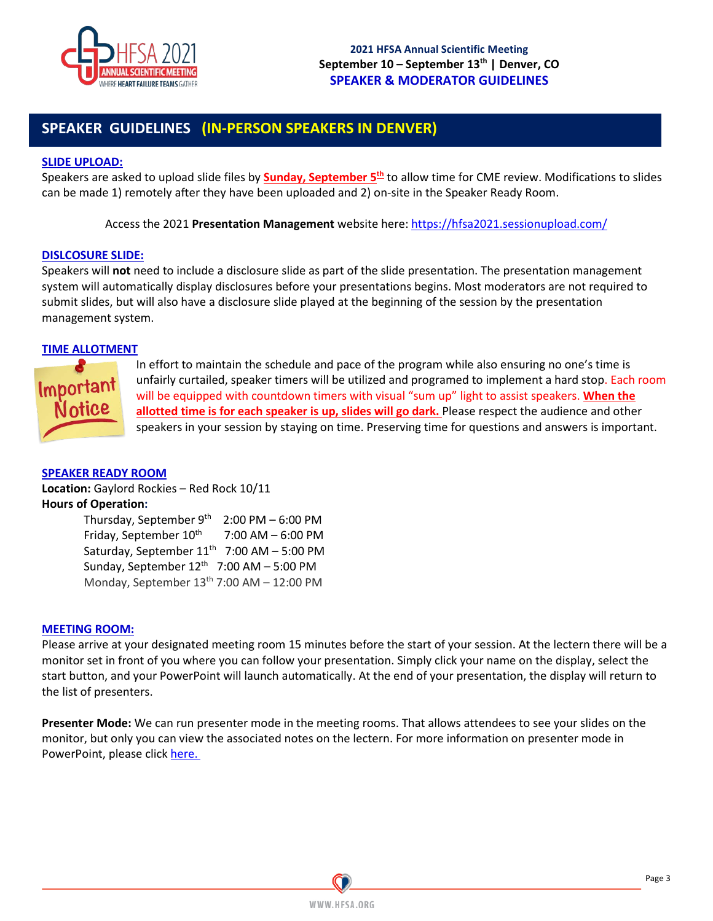

# **SPEAKER GUIDELINES (IN-PERSON SPEAKERS IN DENVER)**

### **SLIDE UPLOAD:**

Speakers are asked to upload slide files by **Sunday, September 5th** to allow time for CME review. Modifications to slides can be made 1) remotely after they have been uploaded and 2) on-site in the Speaker Ready Room.

Access the 2021 **Presentation Management** website here:<https://hfsa2021.sessionupload.com/>

### **DISLCOSURE SLIDE:**

Speakers will **not** need to include a disclosure slide as part of the slide presentation. The presentation management system will automatically display disclosures before your presentations begins. Most moderators are not required to submit slides, but will also have a disclosure slide played at the beginning of the session by the presentation management system.

# **TIME ALLOTMENT**



In effort to maintain the schedule and pace of the program while also ensuring no one's time is unfairly curtailed, speaker timers will be utilized and programed to implement a hard stop. Each room will be equipped with countdown timers with visual "sum up" light to assist speakers. **When the allotted time is for each speaker is up, slides will go dark.** Please respect the audience and other speakers in your session by staying on time. Preserving time for questions and answers is important.

# **SPEAKER READY ROOM**

**Location:** Gaylord Rockies – Red Rock 10/11 **Hours of Operation:** 

Thursday, September  $9^{th}$  2:00 PM – 6:00 PM Friday, September  $10^{th}$  7:00 AM – 6:00 PM Saturday, September  $11<sup>th</sup>$  7:00 AM – 5:00 PM Sunday, September  $12<sup>th</sup>$  7:00 AM – 5:00 PM Monday, September  $13<sup>th</sup>$  7:00 AM – 12:00 PM

### **MEETING ROOM:**

Please arrive at your designated meeting room 15 minutes before the start of your session. At the lectern there will be a monitor set in front of you where you can follow your presentation. Simply click your name on the display, select the start button, and your PowerPoint will launch automatically. At the end of your presentation, the display will return to the list of presenters.

**Presenter Mode:** We can run presenter mode in the meeting rooms. That allows attendees to see your slides on the monitor, but only you can view the associated notes on the lectern. For more information on presenter mode in PowerPoint, please clic[k here.](https://support.office.com/en-us/article/Use-Presenter-view-798dcb21-603c-43c3-a782-9a2d7720ab33)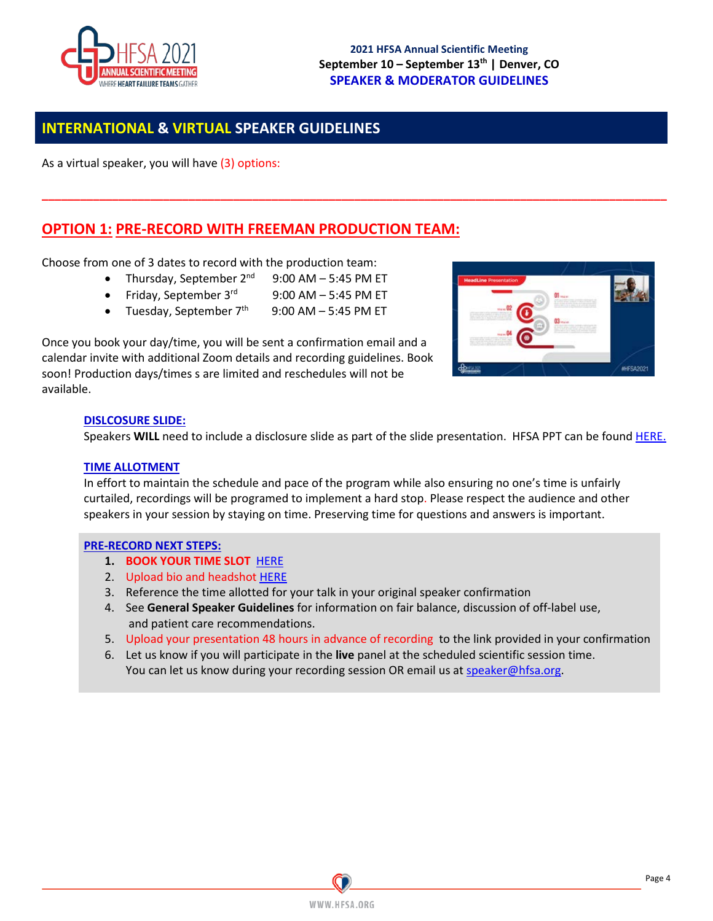

# **INTERNATIONAL & VIRTUAL SPEAKER GUIDELINES**

As a virtual speaker, you will have (3) options:

# **OPTION 1: PRE-RECORD WITH FREEMAN PRODUCTION TEAM:**

Choose from one of 3 dates to record with the production team:

- Thursday, September  $2^{nd}$  9:00 AM 5:45 PM ET
- Friday, September  $3^{rd}$  9:00 AM 5:45 PM ET
- Tuesday, September  $7<sup>th</sup>$  9:00 AM 5:45 PM ET

Once you book your day/time, you will be sent a confirmation email and a calendar invite with additional Zoom details and recording guidelines. Book soon! Production days/times s are limited and reschedules will not be available.



### **DISLCOSURE SLIDE:**

Speakers **WILL** need to include a disclosure slide as part of the slide presentation. HFSA PPT can be found [HERE.](https://www.dropbox.com/s/aot626e6zmb3ehc/ASM21_PPT-Temp_v1.pptx?dl=0)

### **TIME ALLOTMENT**

In effort to maintain the schedule and pace of the program while also ensuring no one's time is unfairly curtailed, recordings will be programed to implement a hard stop. Please respect the audience and other speakers in your session by staying on time. Preserving time for questions and answers is important.

**\_\_\_\_\_\_\_\_\_\_\_\_\_\_\_\_\_\_\_\_\_\_\_\_\_\_\_\_\_\_\_\_\_\_\_\_\_\_\_\_\_\_\_\_\_\_\_\_\_\_\_\_\_\_\_\_\_\_\_\_\_\_\_\_\_\_\_\_\_\_\_\_\_\_\_\_\_\_\_\_\_\_\_\_\_\_\_\_\_\_\_\_\_\_\_\_\_\_**

### **PRE-RECORD NEXT STEPS:**

- **1. BOOK YOUR TIME SLOT** [HERE](https://app.acuityscheduling.com/schedule.php?owner=20739326&appointmentType=26009990)
- 2. Upload bio and headshot [HERE](https://hfsa2021.sessionupload.com/)
- 3. Reference the time allotted for your talk in your original speaker confirmation
- 4. See **General Speaker Guidelines** for information on fair balance, discussion of off-label use, and patient care recommendations.
- 5. Upload your presentation 48 hours in advance of recording to the link provided in your confirmation
- 6. Let us know if you will participate in the **live** panel at the scheduled scientific session time. You can let us know during your recording session OR email us a[t speaker@hfsa.org.](mailto:speaker@hfsa.org)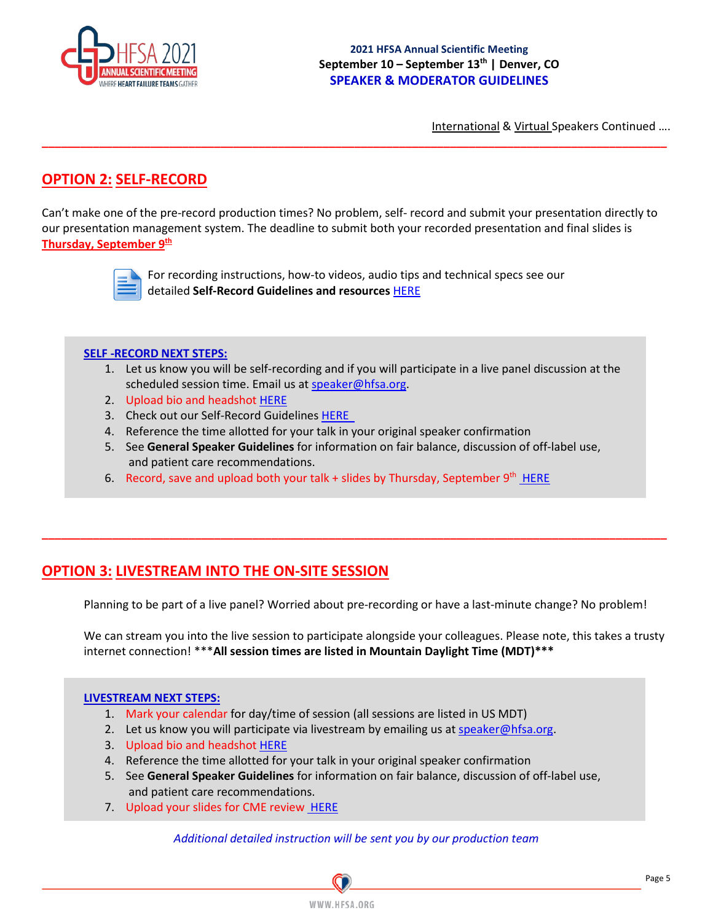

International & Virtual Speakers Continued ….

# **OPTION 2: SELF-RECORD**

Can't make one of the pre-record production times? No problem, self- record and submit your presentation directly to our presentation management system. The deadline to submit both your recorded presentation and final slides is **Thursday, September 9th** 

**\_\_\_\_\_\_\_\_\_\_\_\_\_\_\_\_\_\_\_\_\_\_\_\_\_\_\_\_\_\_\_\_\_\_\_\_\_\_\_\_\_\_\_\_\_\_\_\_\_\_\_\_\_\_\_\_\_\_\_\_\_\_\_\_\_\_\_\_\_\_\_\_\_\_\_\_\_\_\_\_\_\_\_\_\_\_\_\_\_\_\_\_\_\_\_\_\_\_**



For recording instructions, how-to videos, audio tips and technical specs see our detailed **Self-Record Guidelines and resources** [HERE](https://www.dropbox.com/s/oe4mlpyyfcib8r3/2021%20HFSA%20ASM%20-%20Self%20Record%20Guidelines.pdf?dl=0)

### **SELF -RECORD NEXT STEPS:**

- 1. Let us know you will be self-recording and if you will participate in a live panel discussion at the scheduled session time. Email us a[t speaker@hfsa.org.](mailto:speaker@hfsa.org)
- 2. Upload bio and headshot [HERE](https://hfsa2021.sessionupload.com/)
- 3. Check out our Self-Record Guidelines [HERE](https://www.dropbox.com/s/oe4mlpyyfcib8r3/2021%20HFSA%20ASM%20-%20Self%20Record%20Guidelines.pdf?dl=0)
- 4. Reference the time allotted for your talk in your original speaker confirmation
- 5. See **General Speaker Guidelines** for information on fair balance, discussion of off-label use, and patient care recommendations.

**\_\_\_\_\_\_\_\_\_\_\_\_\_\_\_\_\_\_\_\_\_\_\_\_\_\_\_\_\_\_\_\_\_\_\_\_\_\_\_\_\_\_\_\_\_\_\_\_\_\_\_\_\_\_\_\_\_\_\_\_\_\_\_\_\_\_\_\_\_\_\_\_\_\_\_\_\_\_\_\_\_\_\_\_\_\_\_\_\_\_\_\_\_\_\_\_\_\_**

6. Record, save and upload both your talk + slides by Thursday, September  $9^{th}$  [HERE](https://hfsa2021.sessionupload.com/)

# **OPTION 3: LIVESTREAM INTO THE ON-SITE SESSION**

Planning to be part of a live panel? Worried about pre-recording or have a last-minute change? No problem!

We can stream you into the live session to participate alongside your colleagues. Please note, this takes a trusty internet connection! \*\*\***All session times are listed in Mountain Daylight Time (MDT)\*\*\***

### **LIVESTREAM NEXT STEPS:**

- 1. Mark your calendar for day/time of session (all sessions are listed in US MDT)
- 2. Let us know you will participate via livestream by emailing us at [speaker@hfsa.org.](mailto:speaker@hfsa.org)
- 3. Upload bio and headshot [HERE](https://hfsa2021.sessionupload.com/)
- 4. Reference the time allotted for your talk in your original speaker confirmation
- 5. See **General Speaker Guidelines** for information on fair balance, discussion of off-label use, and patient care recommendations.
- 7. Upload your slides for CME review [HERE](https://hfsa2021.sessionupload.com/)

*Additional detailed instruction will be sent you by our production team*